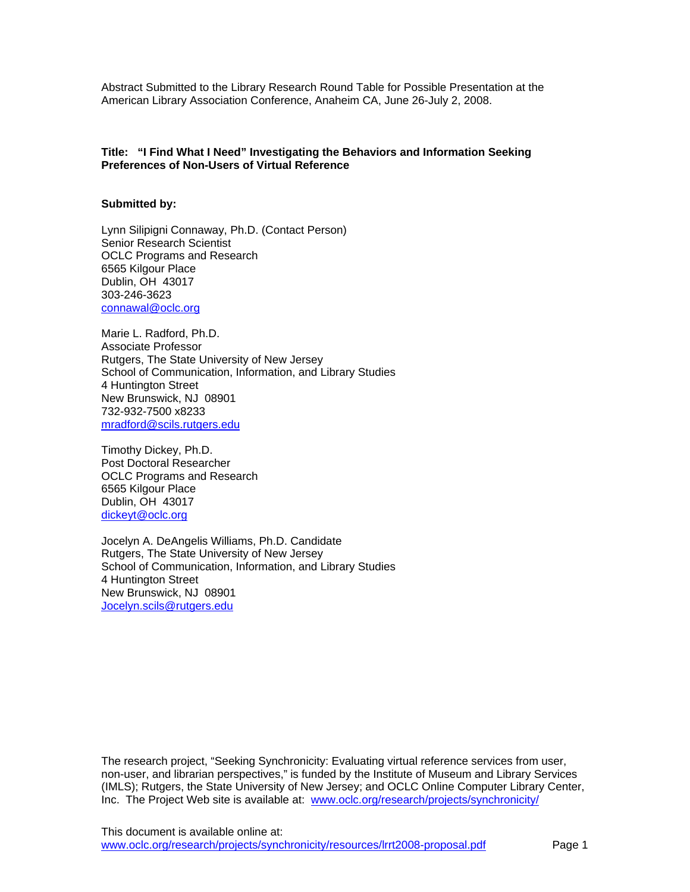Abstract Submitted to the Library Research Round Table for Possible Presentation at the American Library Association Conference, Anaheim CA, June 26-July 2, 2008.

# **Title: "I Find What I Need" Investigating the Behaviors and Information Seeking Preferences of Non-Users of Virtual Reference**

### **Submitted by:**

Lynn Silipigni Connaway, Ph.D. (Contact Person) Senior Research Scientist OCLC Programs and Research 6565 Kilgour Place Dublin, OH 43017 303-246-3623 [connawal@oclc.org](mailto:connawal@oclc.org)

Marie L. Radford, Ph.D. Associate Professor Rutgers, The State University of New Jersey School of Communication, Information, and Library Studies 4 Huntington Street New Brunswick, NJ 08901 732-932-7500 x8233 [mradford@scils.rutgers.edu](mailto:mradford@scils.rutgers.edu)

Timothy Dickey, Ph.D. Post Doctoral Researcher OCLC Programs and Research 6565 Kilgour Place Dublin, OH 43017 [dickeyt@oclc.org](mailto:dickeyt@oclc.org)

Jocelyn A. DeAngelis Williams, Ph.D. Candidate Rutgers, The State University of New Jersey School of Communication, Information, and Library Studies 4 Huntington Street New Brunswick, NJ 08901 [Jocelyn.scils@rutgers.edu](mailto:Jocelyn.scils@rutgers.edu)

The research project, "Seeking Synchronicity: Evaluating virtual reference services from user, non-user, and librarian perspectives," is funded by the Institute of Museum and Library Services (IMLS); Rutgers, the State University of New Jersey; and OCLC Online Computer Library Center, Inc. The Project Web site is available at: [www.oclc.org/research/projects/synchronicity/](http://www.oclc.org/research/projects/synchronicity/)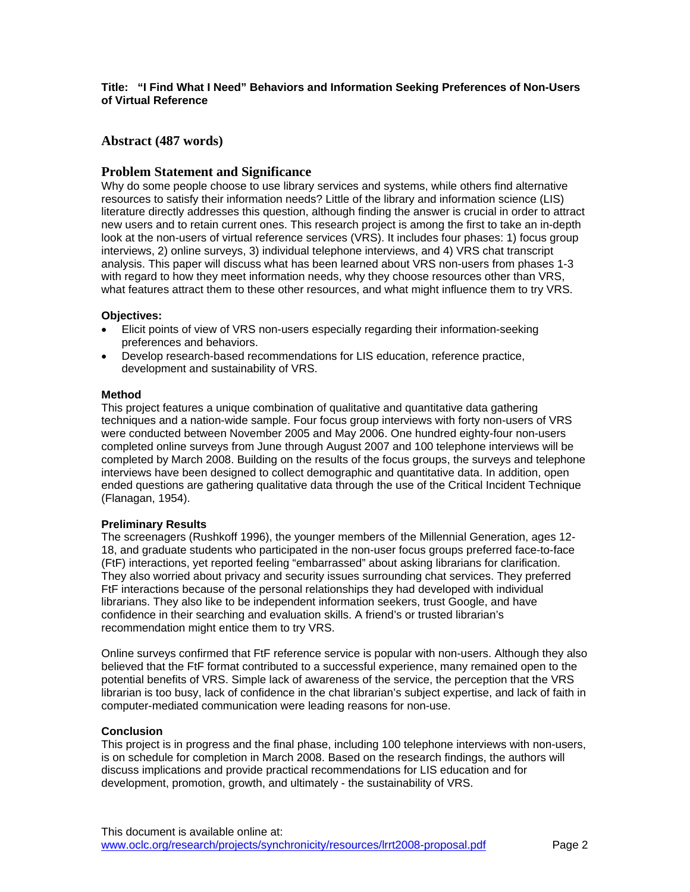## **Title: "I Find What I Need" Behaviors and Information Seeking Preferences of Non-Users of Virtual Reference**

# **Abstract (487 words)**

# **Problem Statement and Significance**

Why do some people choose to use library services and systems, while others find alternative resources to satisfy their information needs? Little of the library and information science (LIS) literature directly addresses this question, although finding the answer is crucial in order to attract new users and to retain current ones. This research project is among the first to take an in-depth look at the non-users of virtual reference services (VRS). It includes four phases: 1) focus group interviews, 2) online surveys, 3) individual telephone interviews, and 4) VRS chat transcript analysis. This paper will discuss what has been learned about VRS non-users from phases 1-3 with regard to how they meet information needs, why they choose resources other than VRS, what features attract them to these other resources, and what might influence them to try VRS.

## **Objectives:**

- Elicit points of view of VRS non-users especially regarding their information-seeking preferences and behaviors.
- Develop research-based recommendations for LIS education, reference practice, development and sustainability of VRS.

#### **Method**

This project features a unique combination of qualitative and quantitative data gathering techniques and a nation-wide sample. Four focus group interviews with forty non-users of VRS were conducted between November 2005 and May 2006. One hundred eighty-four non-users completed online surveys from June through August 2007 and 100 telephone interviews will be completed by March 2008. Building on the results of the focus groups, the surveys and telephone interviews have been designed to collect demographic and quantitative data. In addition, open ended questions are gathering qualitative data through the use of the Critical Incident Technique (Flanagan, 1954).

#### **Preliminary Results**

The screenagers (Rushkoff 1996), the younger members of the Millennial Generation, ages 12- 18, and graduate students who participated in the non-user focus groups preferred face-to-face (FtF) interactions, yet reported feeling "embarrassed" about asking librarians for clarification. They also worried about privacy and security issues surrounding chat services. They preferred FtF interactions because of the personal relationships they had developed with individual librarians. They also like to be independent information seekers, trust Google, and have confidence in their searching and evaluation skills. A friend's or trusted librarian's recommendation might entice them to try VRS.

Online surveys confirmed that FtF reference service is popular with non-users. Although they also believed that the FtF format contributed to a successful experience, many remained open to the potential benefits of VRS. Simple lack of awareness of the service, the perception that the VRS librarian is too busy, lack of confidence in the chat librarian's subject expertise, and lack of faith in computer-mediated communication were leading reasons for non-use.

#### **Conclusion**

This project is in progress and the final phase, including 100 telephone interviews with non-users, is on schedule for completion in March 2008. Based on the research findings, the authors will discuss implications and provide practical recommendations for LIS education and for development, promotion, growth, and ultimately - the sustainability of VRS.